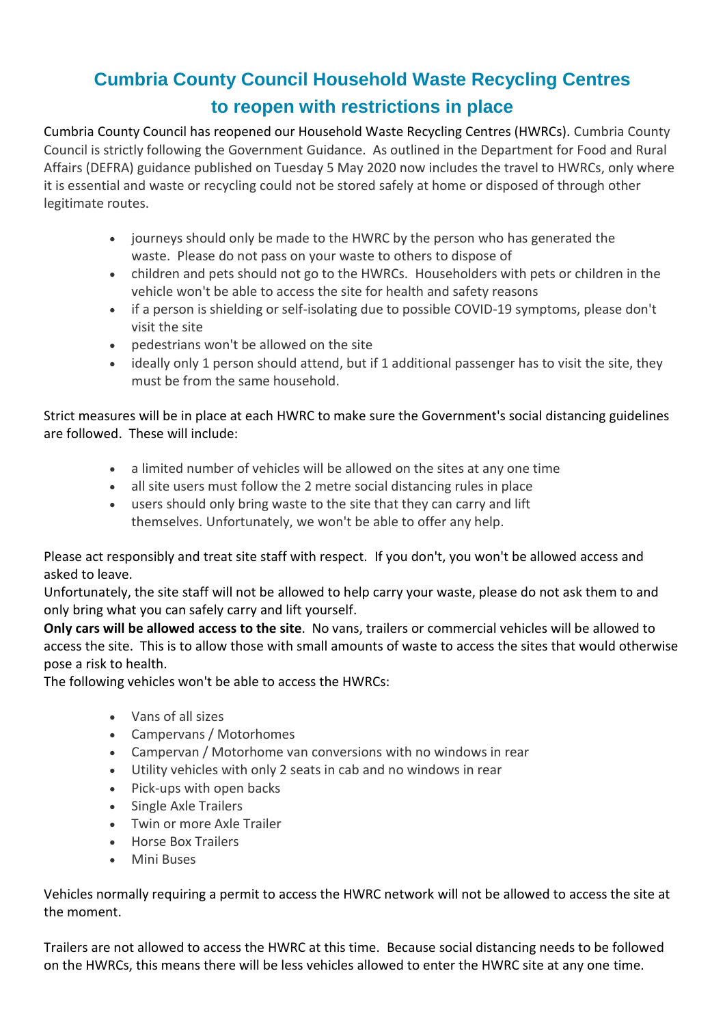## **Cumbria County Council Household Waste Recycling Centres to reopen with restrictions in place**

Cumbria County Council has reopened our Household Waste Recycling Centres (HWRCs). Cumbria County Council is strictly following the Government Guidance. As outlined in the Department for Food and Rural Affairs (DEFRA) guidance published on Tuesday 5 May 2020 now includes the travel to HWRCs, only where it is essential and waste or recycling could not be stored safely at home or disposed of through other legitimate routes.

- journeys should only be made to the HWRC by the person who has generated the waste. Please do not pass on your waste to others to dispose of
- children and pets should not go to the HWRCs. Householders with pets or children in the vehicle won't be able to access the site for health and safety reasons
- if a person is shielding or self-isolating due to possible COVID-19 symptoms, please don't visit the site
- pedestrians won't be allowed on the site
- ideally only 1 person should attend, but if 1 additional passenger has to visit the site, they must be from the same household.

Strict measures will be in place at each HWRC to make sure the Government's social distancing guidelines are followed. These will include:

- a limited number of vehicles will be allowed on the sites at any one time
- all site users must follow the 2 metre social distancing rules in place
- users should only bring waste to the site that they can carry and lift themselves. Unfortunately, we won't be able to offer any help.

Please act responsibly and treat site staff with respect. If you don't, you won't be allowed access and asked to leave.

Unfortunately, the site staff will not be allowed to help carry your waste, please do not ask them to and only bring what you can safely carry and lift yourself.

**Only cars will be allowed access to the site**. No vans, trailers or commercial vehicles will be allowed to access the site. This is to allow those with small amounts of waste to access the sites that would otherwise pose a risk to health.

The following vehicles won't be able to access the HWRCs:

- Vans of all sizes
- Campervans / Motorhomes
- Campervan / Motorhome van conversions with no windows in rear
- Utility vehicles with only 2 seats in cab and no windows in rear
- Pick-ups with open backs
- Single Axle Trailers
- Twin or more Axle Trailer
- Horse Box Trailers
- Mini Buses

Vehicles normally requiring a permit to access the HWRC network will not be allowed to access the site at the moment.

Trailers are not allowed to access the HWRC at this time. Because social distancing needs to be followed on the HWRCs, this means there will be less vehicles allowed to enter the HWRC site at any one time.